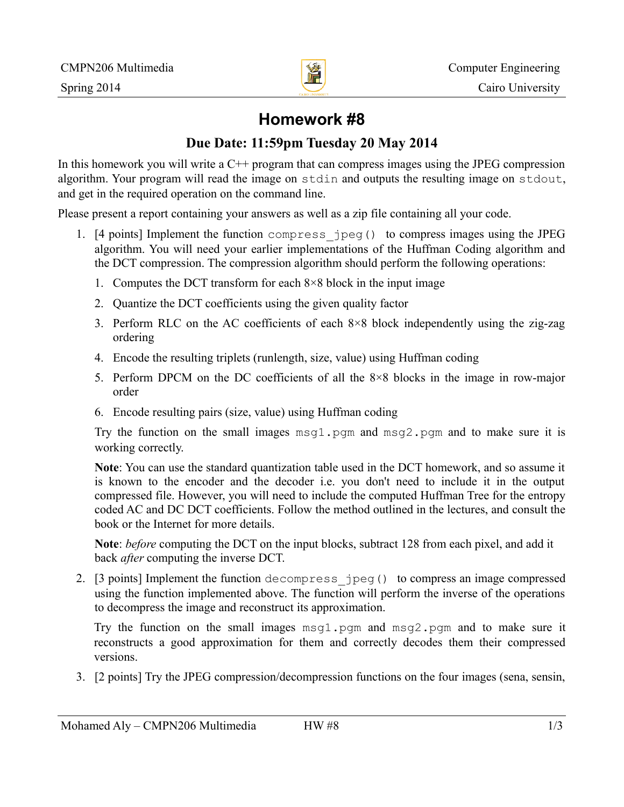

# **Homework #8**

### **Due Date: 11:59pm Tuesday 20 May 2014**

In this homework you will write a  $C^{++}$  program that can compress images using the JPEG compression algorithm. Your program will read the image on stdin and outputs the resulting image on stdout, and get in the required operation on the command line.

Please present a report containing your answers as well as a zip file containing all your code.

- 1. [4 points] Implement the function compress\_jpeg() to compress images using the JPEG algorithm. You will need your earlier implementations of the Huffman Coding algorithm and the DCT compression. The compression algorithm should perform the following operations:
	- 1. Computes the DCT transform for each 8×8 block in the input image
	- 2. Quantize the DCT coefficients using the given quality factor
	- 3. Perform RLC on the AC coefficients of each 8×8 block independently using the zig-zag ordering
	- 4. Encode the resulting triplets (runlength, size, value) using Huffman coding
	- 5. Perform DPCM on the DC coefficients of all the 8×8 blocks in the image in row-major order
	- 6. Encode resulting pairs (size, value) using Huffman coding

Try the function on the small images  $msq1.$  pgm and  $msq2.$  pgm and to make sure it is working correctly.

**Note**: You can use the standard quantization table used in the DCT homework, and so assume it is known to the encoder and the decoder i.e. you don't need to include it in the output compressed file. However, you will need to include the computed Huffman Tree for the entropy coded AC and DC DCT coefficients. Follow the method outlined in the lectures, and consult the book or the Internet for more details.

**Note**: *before* computing the DCT on the input blocks, subtract 128 from each pixel, and add it back *after* computing the inverse DCT.

2. [3 points] Implement the function decompress\_jpeg() to compress an image compressed using the function implemented above. The function will perform the inverse of the operations to decompress the image and reconstruct its approximation.

Try the function on the small images msg1.pgm and msg2.pgm and to make sure it reconstructs a good approximation for them and correctly decodes them their compressed versions.

3. [2 points] Try the JPEG compression/decompression functions on the four images (sena, sensin,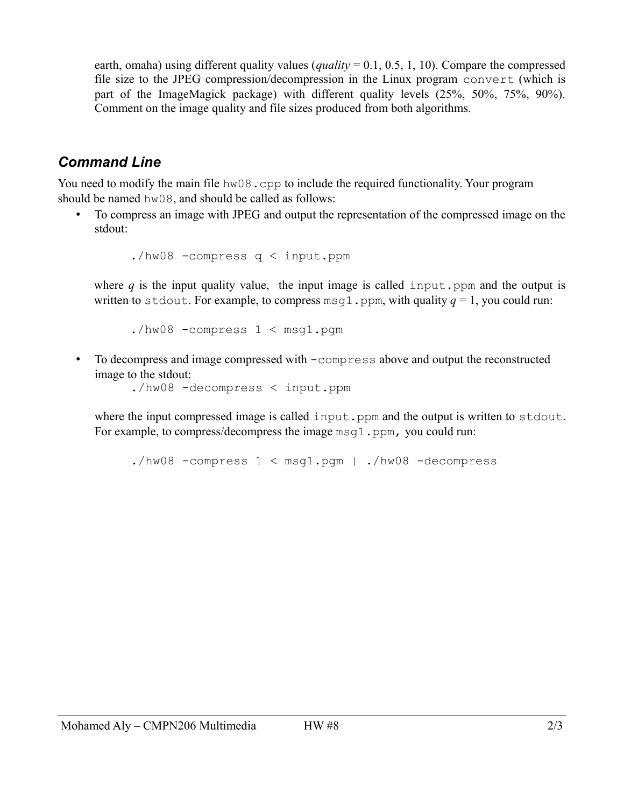earth, omaha) using different quality values (*quality* = 0.1, 0.5, 1, 10). Compare the compressed file size to the JPEG compression/decompression in the Linux program convert (which is part of the ImageMagick package) with different quality levels (25%, 50%, 75%, 90%). Comment on the image quality and file sizes produced from both algorithms.

## *Command Line*

You need to modify the main file hw08.cpp to include the required functionality. Your program should be named hw08, and should be called as follows:

• To compress an image with JPEG and output the representation of the compressed image on the stdout:

./hw08 -compress q < input.ppm

where  $q$  is the input quality value, the input image is called input.ppm and the output is written to stdout. For example, to compress msq1.ppm, with quality  $q = 1$ , you could run:

./hw08 -compress 1 < msg1.pgm

• To decompress and image compressed with  $-\text{compress}$  above and output the reconstructed image to the stdout:

./hw08 -decompress < input.ppm

where the input compressed image is called input.ppm and the output is written to stdout. For example, to compress/decompress the image msg1.ppm, you could run:

./hw08 -compress  $1 \lt msq1.pqm$  ./hw08 -decompress